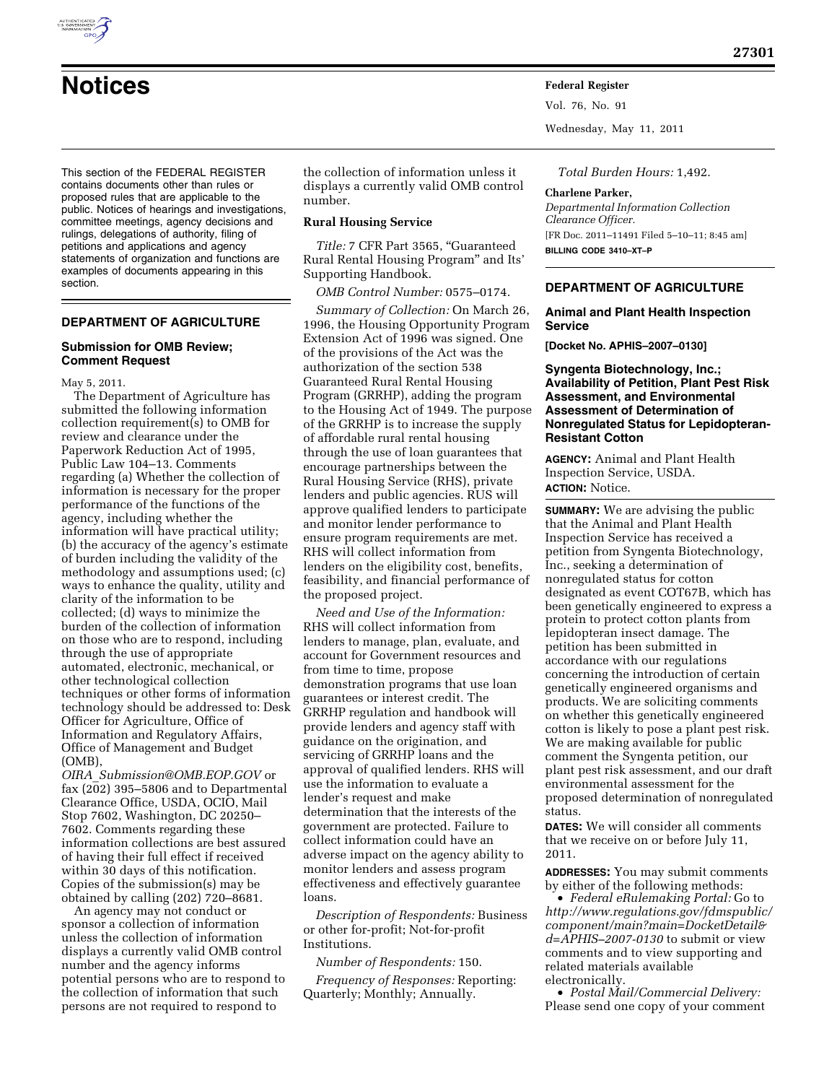

Vol. 76, No. 91

Wednesday, May 11, 2011

This section of the FEDERAL REGISTER contains documents other than rules or proposed rules that are applicable to the public. Notices of hearings and investigations, committee meetings, agency decisions and rulings, delegations of authority, filing of petitions and applications and agency statements of organization and functions are examples of documents appearing in this section.

# **DEPARTMENT OF AGRICULTURE**

### **Submission for OMB Review; Comment Request**

May 5, 2011.

The Department of Agriculture has submitted the following information collection requirement(s) to OMB for review and clearance under the Paperwork Reduction Act of 1995, Public Law 104–13. Comments regarding (a) Whether the collection of information is necessary for the proper performance of the functions of the agency, including whether the information will have practical utility; (b) the accuracy of the agency's estimate of burden including the validity of the methodology and assumptions used; (c) ways to enhance the quality, utility and clarity of the information to be collected; (d) ways to minimize the burden of the collection of information on those who are to respond, including through the use of appropriate automated, electronic, mechanical, or other technological collection techniques or other forms of information technology should be addressed to: Desk Officer for Agriculture, Office of Information and Regulatory Affairs, Office of Management and Budget (OMB),

*OIRA*\_*[Submission@OMB.EOP.GOV](mailto:OIRA_Submission@OMB.EOP.GOV)* or fax (202) 395–5806 and to Departmental Clearance Office, USDA, OCIO, Mail Stop 7602, Washington, DC 20250– 7602. Comments regarding these information collections are best assured of having their full effect if received within 30 days of this notification. Copies of the submission(s) may be obtained by calling (202) 720–8681.

An agency may not conduct or sponsor a collection of information unless the collection of information displays a currently valid OMB control number and the agency informs potential persons who are to respond to the collection of information that such persons are not required to respond to

the collection of information unless it displays a currently valid OMB control number.

### **Rural Housing Service**

*Title:* 7 CFR Part 3565, ''Guaranteed Rural Rental Housing Program'' and Its' Supporting Handbook.

*OMB Control Number:* 0575–0174.

*Summary of Collection:* On March 26, 1996, the Housing Opportunity Program Extension Act of 1996 was signed. One of the provisions of the Act was the authorization of the section 538 Guaranteed Rural Rental Housing Program (GRRHP), adding the program to the Housing Act of 1949. The purpose of the GRRHP is to increase the supply of affordable rural rental housing through the use of loan guarantees that encourage partnerships between the Rural Housing Service (RHS), private lenders and public agencies. RUS will approve qualified lenders to participate and monitor lender performance to ensure program requirements are met. RHS will collect information from lenders on the eligibility cost, benefits, feasibility, and financial performance of the proposed project.

*Need and Use of the Information:*  RHS will collect information from lenders to manage, plan, evaluate, and account for Government resources and from time to time, propose demonstration programs that use loan guarantees or interest credit. The GRRHP regulation and handbook will provide lenders and agency staff with guidance on the origination, and servicing of GRRHP loans and the approval of qualified lenders. RHS will use the information to evaluate a lender's request and make determination that the interests of the government are protected. Failure to collect information could have an adverse impact on the agency ability to monitor lenders and assess program effectiveness and effectively guarantee loans.

*Description of Respondents:* Business or other for-profit; Not-for-profit Institutions.

*Number of Respondents:* 150.

*Frequency of Responses:* Reporting: Quarterly; Monthly; Annually.

*Total Burden Hours:* 1,492.

### **Charlene Parker,**

*Departmental Information Collection Clearance Officer.*  [FR Doc. 2011–11491 Filed 5–10–11; 8:45 am] **BILLING CODE 3410–XT–P** 

# **DEPARTMENT OF AGRICULTURE**

## **Animal and Plant Health Inspection Service**

**[Docket No. APHIS–2007–0130]** 

**Syngenta Biotechnology, Inc.; Availability of Petition, Plant Pest Risk Assessment, and Environmental Assessment of Determination of Nonregulated Status for Lepidopteran-Resistant Cotton** 

**AGENCY:** Animal and Plant Health Inspection Service, USDA. **ACTION:** Notice.

**SUMMARY:** We are advising the public that the Animal and Plant Health Inspection Service has received a petition from Syngenta Biotechnology, Inc., seeking a determination of nonregulated status for cotton designated as event COT67B, which has been genetically engineered to express a protein to protect cotton plants from lepidopteran insect damage. The petition has been submitted in accordance with our regulations concerning the introduction of certain genetically engineered organisms and products. We are soliciting comments on whether this genetically engineered cotton is likely to pose a plant pest risk. We are making available for public comment the Syngenta petition, our plant pest risk assessment, and our draft environmental assessment for the proposed determination of nonregulated status.

**DATES:** We will consider all comments that we receive on or before July 11, 2011.

**ADDRESSES:** You may submit comments by either of the following methods:

• *Federal eRulemaking Portal:* Go to *[http://www.regulations.gov/fdmspublic/](http://www.regulations.gov/fdmspublic/component/main?main=DocketDetail&d=APHIS-2007-0130) [component/main?main=DocketDetail&](http://www.regulations.gov/fdmspublic/component/main?main=DocketDetail&d=APHIS-2007-0130) [d=APHIS–2007-0130](http://www.regulations.gov/fdmspublic/component/main?main=DocketDetail&d=APHIS-2007-0130)* to submit or view comments and to view supporting and related materials available electronically.

• *Postal Mail/Commercial Delivery:*  Please send one copy of your comment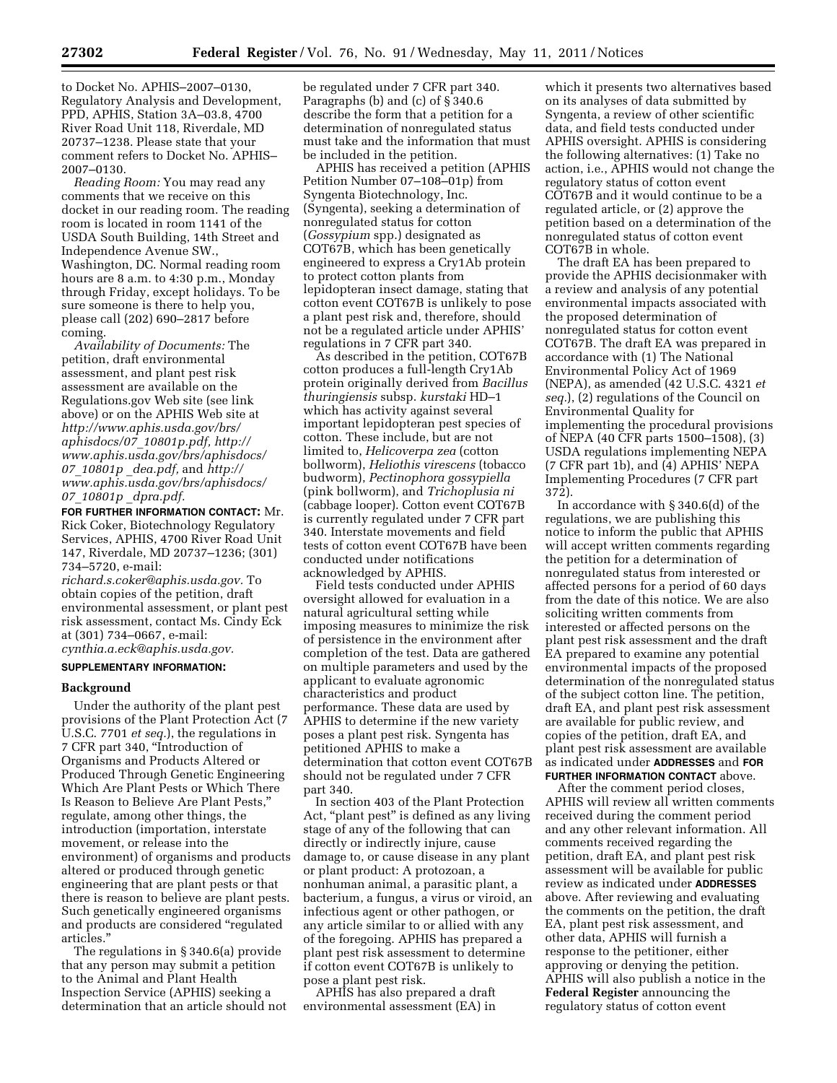to Docket No. APHIS–2007–0130, Regulatory Analysis and Development, PPD, APHIS, Station 3A–03.8, 4700 River Road Unit 118, Riverdale, MD 20737–1238. Please state that your comment refers to Docket No. APHIS– 2007–0130.

*Reading Room:* You may read any comments that we receive on this docket in our reading room. The reading room is located in room 1141 of the USDA South Building, 14th Street and Independence Avenue SW., Washington, DC. Normal reading room hours are 8 a.m. to 4:30 p.m., Monday through Friday, except holidays. To be sure someone is there to help you, please call (202) 690–2817 before coming.

*Availability of Documents:* The petition, draft environmental assessment, and plant pest risk assessment are available on the Regulations.gov Web site (see link above) or on the APHIS Web site at *[http://www.aphis.usda.gov/brs/](http://www.aphis.usda.gov/brs/aphisdocs/07_10801p.pdf) [aphisdocs/07](http://www.aphis.usda.gov/brs/aphisdocs/07_10801p.pdf)*\_*10801p.pdf, [http://](http://www.aphis.usda.gov/brs/aphisdocs/07_10801p_dea.pdf)  [www.aphis.usda.gov/brs/aphisdocs/](http://www.aphis.usda.gov/brs/aphisdocs/07_10801p_dea.pdf)  07*\_*[10801p](http://www.aphis.usda.gov/brs/aphisdocs/07_10801p_dea.pdf)* \_*dea.pdf,* and *[http://](http://www.aphis.usda.gov/brs/aphisdocs/07_10801p_dpra.pdf)  [www.aphis.usda.gov/brs/aphisdocs/](http://www.aphis.usda.gov/brs/aphisdocs/07_10801p_dpra.pdf)  07*\_*10801p* \_*[dpra.pdf.](http://www.aphis.usda.gov/brs/aphisdocs/07_10801p_dpra.pdf)* 

**FOR FURTHER INFORMATION CONTACT:** Mr. Rick Coker, Biotechnology Regulatory Services, APHIS, 4700 River Road Unit 147, Riverdale, MD 20737–1236; (301) 734–5720, e-mail:

*[richard.s.coker@aphis.usda.gov.](mailto:richard.s.coker@aphis.usda.gov)* To obtain copies of the petition, draft environmental assessment, or plant pest risk assessment, contact Ms. Cindy Eck at (301) 734–0667, e-mail: *[cynthia.a.eck@aphis.usda.gov.](mailto:cynthia.a.eck@aphis.usda.gov)* 

### **SUPPLEMENTARY INFORMATION:**

#### **Background**

Under the authority of the plant pest provisions of the Plant Protection Act (7 U.S.C. 7701 *et seq.*), the regulations in 7 CFR part 340, ''Introduction of Organisms and Products Altered or Produced Through Genetic Engineering Which Are Plant Pests or Which There Is Reason to Believe Are Plant Pests,'' regulate, among other things, the introduction (importation, interstate movement, or release into the environment) of organisms and products altered or produced through genetic engineering that are plant pests or that there is reason to believe are plant pests. Such genetically engineered organisms and products are considered ''regulated articles.''

The regulations in § 340.6(a) provide that any person may submit a petition to the Animal and Plant Health Inspection Service (APHIS) seeking a determination that an article should not be regulated under 7 CFR part 340. Paragraphs (b) and (c) of § 340.6 describe the form that a petition for a determination of nonregulated status must take and the information that must be included in the petition.

APHIS has received a petition (APHIS Petition Number 07–108–01p) from Syngenta Biotechnology, Inc. (Syngenta), seeking a determination of nonregulated status for cotton (*Gossypium* spp.) designated as COT67B, which has been genetically engineered to express a Cry1Ab protein to protect cotton plants from lepidopteran insect damage, stating that cotton event COT67B is unlikely to pose a plant pest risk and, therefore, should not be a regulated article under APHIS' regulations in 7 CFR part 340.

As described in the petition, COT67B cotton produces a full-length Cry1Ab protein originally derived from *Bacillus thuringiensis* subsp. *kurstaki* HD–1 which has activity against several important lepidopteran pest species of cotton. These include, but are not limited to, *Helicoverpa zea* (cotton bollworm), *Heliothis virescens* (tobacco budworm), *Pectinophora gossypiella*  (pink bollworm), and *Trichoplusia ni*  (cabbage looper). Cotton event COT67B is currently regulated under 7 CFR part 340. Interstate movements and field tests of cotton event COT67B have been conducted under notifications acknowledged by APHIS.

Field tests conducted under APHIS oversight allowed for evaluation in a natural agricultural setting while imposing measures to minimize the risk of persistence in the environment after completion of the test. Data are gathered on multiple parameters and used by the applicant to evaluate agronomic characteristics and product performance. These data are used by APHIS to determine if the new variety poses a plant pest risk. Syngenta has petitioned APHIS to make a determination that cotton event COT67B should not be regulated under 7 CFR part 340.

In section 403 of the Plant Protection Act, "plant pest" is defined as any living stage of any of the following that can directly or indirectly injure, cause damage to, or cause disease in any plant or plant product: A protozoan, a nonhuman animal, a parasitic plant, a bacterium, a fungus, a virus or viroid, an infectious agent or other pathogen, or any article similar to or allied with any of the foregoing. APHIS has prepared a plant pest risk assessment to determine if cotton event COT67B is unlikely to pose a plant pest risk.

APHIS has also prepared a draft environmental assessment (EA) in

which it presents two alternatives based on its analyses of data submitted by Syngenta, a review of other scientific data, and field tests conducted under APHIS oversight. APHIS is considering the following alternatives: (1) Take no action, i.e., APHIS would not change the regulatory status of cotton event COT67B and it would continue to be a regulated article, or (2) approve the petition based on a determination of the nonregulated status of cotton event COT67B in whole.

The draft EA has been prepared to provide the APHIS decisionmaker with a review and analysis of any potential environmental impacts associated with the proposed determination of nonregulated status for cotton event COT67B. The draft EA was prepared in accordance with (1) The National Environmental Policy Act of 1969 (NEPA), as amended (42 U.S.C. 4321 *et seq.*), (2) regulations of the Council on Environmental Quality for implementing the procedural provisions of NEPA (40 CFR parts 1500–1508), (3) USDA regulations implementing NEPA (7 CFR part 1b), and (4) APHIS' NEPA Implementing Procedures (7 CFR part 372).

In accordance with § 340.6(d) of the regulations, we are publishing this notice to inform the public that APHIS will accept written comments regarding the petition for a determination of nonregulated status from interested or affected persons for a period of 60 days from the date of this notice. We are also soliciting written comments from interested or affected persons on the plant pest risk assessment and the draft EA prepared to examine any potential environmental impacts of the proposed determination of the nonregulated status of the subject cotton line. The petition, draft EA, and plant pest risk assessment are available for public review, and copies of the petition, draft EA, and plant pest risk assessment are available as indicated under **ADDRESSES** and **FOR FURTHER INFORMATION CONTACT** above.

After the comment period closes, APHIS will review all written comments received during the comment period and any other relevant information. All comments received regarding the petition, draft EA, and plant pest risk assessment will be available for public review as indicated under **ADDRESSES** above. After reviewing and evaluating the comments on the petition, the draft EA, plant pest risk assessment, and other data, APHIS will furnish a response to the petitioner, either approving or denying the petition. APHIS will also publish a notice in the **Federal Register** announcing the regulatory status of cotton event